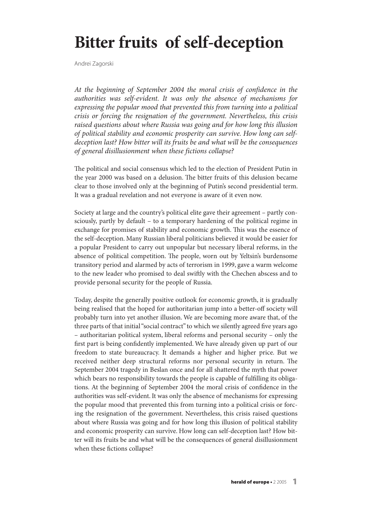# **Bitter fruits of self-deception**

Andrei Zagorski

At the beginning of September 2004 the moral crisis of confidence in the authorities was self-evident. It was only the absence of mechanisms for expressing the popular mood that prevented this from turning into a political crisis or forcing the resignation of the government. Nevertheless, this crisis raised questions about where Russia was going and for how long this illusion of political stability and economic prosperity can survive. How long can selfdeception last? How bitter will its fruits be and what will be the consequences of general disillusionment when these fictions collapse?

The political and social consensus which led to the election of President Putin in the year 2000 was based on a delusion. The bitter fruits of this delusion became clear to those involved only at the beginning of Putin's second presidential term. It was a gradual revelation and not everyone is aware of it even now.

Society at large and the country's political elite gave their agreement – partly consciously, partly by default – to a temporary hardening of the political regime in exchange for promises of stability and economic growth. This was the essence of the self-deception. Many Russian liberal politicians believed it would be easier for a popular President to carry out unpopular but necessary liberal reforms, in the absence of political competition. The people, worn out by Yeltsin's burdensome transitory period and alarmed by acts of terrorism in 1999, gave a warm welcome to the new leader who promised to deal swiftly with the Chechen abscess and to provide personal security for the people of Russia.

Today, despite the generally positive outlook for economic growth, it is gradually being realised that the hoped for authoritarian jump into a better-off society will probably turn into yet another illusion. We are becoming more aware that, of the three parts of that initial"social contract" to which we silently agreed five years ago – authoritarian political system, liberal reforms and personal security – only the first part is being confidently implemented. We have already given up part of our freedom to state bureaucracy. It demands a higher and higher price. But we received neither deep structural reforms nor personal security in return. The September 2004 tragedy in Beslan once and for all shattered the myth that power which bears no responsibility towards the people is capable of fulfilling its obligations. At the beginning of September 2004 the moral crisis of confidence in the authorities was self-evident. It was only the absence of mechanisms for expressing the popular mood that prevented this from turning into a political crisis or forcing the resignation of the government. Nevertheless, this crisis raised questions about where Russia was going and for how long this illusion of political stability and economic prosperity can survive. How long can self-deception last? How bitter will its fruits be and what will be the consequences of general disillusionment when these fictions collapse?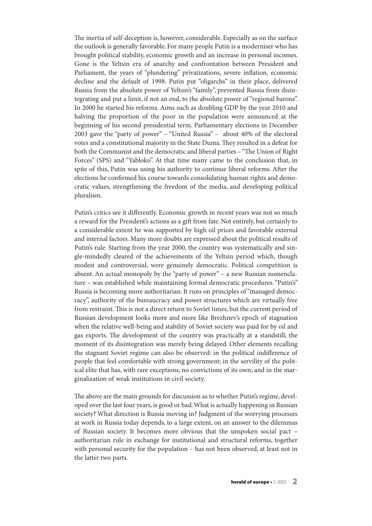The inertia of self-deception is, however, considerable. Especially as on the surface the outlook is generally favorable. For many people Putin is a moderniser who has brought political stability, economic growth and an increase in personal incomes. Gone is the Yeltsin era of anarchy and confrontation between President and Parliament, the years of "plundering" privatizations, severe inflation, economic decline and the default of 1998. Putin put "oligarchs" in their place, delivered Russia from the absolute power of Yeltsin's"family", prevented Russia from disintegrating and put a limit, if not an end, to the absolute power of "regional barons". In 2000 he started his reforms.Aims such as doubling GDP by the year 2010 and halving the proportion of the poor in the population were announced at the beginning of his second presidential term. Parliamentary elections in December 2003 gave the "party of power" – "United Russia" – about 40% of the electoral votes and a constitutional majority in the State Duma. They resulted in a defeat for both the Communist and the democratic and liberal parties – "The Union of Right Forces" (SPS) and "Yabloko". At that time many came to the conclusion that, in spite of this, Putin was using his authority to continue liberal reforms. After the elections he confirmed his course towards consolidating human rights and democratic values, strengthening the freedom of the media, and developing political pluralism.

Putin's critics see it differently. Economic growth in recent years was not so much a reward for the President's actions as a gift from fate. Not entirely, but certainly to a considerable extent he was supported by high oil prices and favorable external and internal factors. Many more doubts are expressed about the political results of Putin's rule. Starting from the year 2000, the country was systematically and single-mindedly cleared of the achievements of the Yeltsin period which, though modest and controversial, were genuinely democratic. Political competition is absent. An actual monopoly by the "party of power" – a new Russian nomenclature – was established while maintaining formal democratic procedures."Putin's" Russia is becoming more authoritarian. It runs on principles of"managed democracy", authority of the bureaucracy and power structures which are virtually free from restraint. This is not a direct return to Soviet times, but the current period of Russian development looks more and more like Brezhnev's epoch of stagnation when the relative well-being and stability of Soviet society was paid for by oil and gas exports. The development of the country was practically at a standstill; the moment of its disintegration was merely being delayed. Other elements recalling the stagnant Soviet regime can also be observed: in the political indifference of people that feel comfortable with strong government; in the servility of the political elite that has, with rare exceptions, no convictions of its own; and in the marginalization of weak institutions in civil society.

The above are the main grounds for discussion as to whether Putin's regime, developed over the last four years, is good or bad.What is actually happening in Russian society? What direction is Russia moving in? Judgment of the worrying processes at work in Russia today depends, to a large extent, on an answer to the dilemmas of Russian society. It becomes more obvious that the unspoken social pact – authoritarian rule in exchange for institutional and structural reforms, together with personal security for the population – has not been observed, at least not in the latter two parts.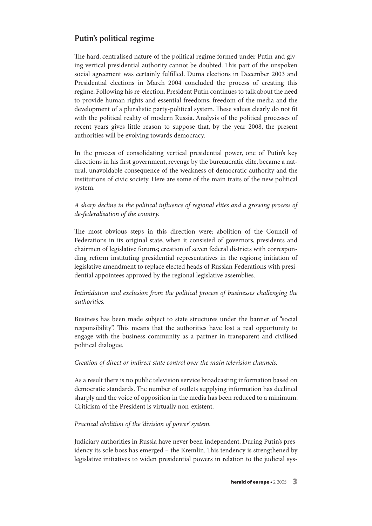## **Putin's political regime**

The hard, centralised nature of the political regime formed under Putin and giving vertical presidential authority cannot be doubted. This part of the unspoken social agreement was certainly fulfilled. Duma elections in December 2003 and Presidential elections in March 2004 concluded the process of creating this regime. Following his re-election, President Putin continues to talk about the need to provide human rights and essential freedoms, freedom of the media and the development of a pluralistic party-political system. These values clearly do not fit with the political reality of modern Russia. Analysis of the political processes of recent years gives little reason to suppose that, by the year 2008, the present authorities will be evolving towards democracy.

In the process of consolidating vertical presidential power, one of Putin's key directions in his first government, revenge by the bureaucratic elite, became a natural, unavoidable consequence of the weakness of democratic authority and the institutions of civic society. Here are some of the main traits of the new political system.

### A sharp decline in the political influence of regional elites and a growing process of de-federalisation of the country.

The most obvious steps in this direction were: abolition of the Council of Federations in its original state, when it consisted of governors, presidents and chairmen of legislative forums; creation of seven federal districts with corresponding reform instituting presidential representatives in the regions; initiation of legislative amendment to replace elected heads of Russian Federations with presidential appointees approved by the regional legislative assemblies.

## Intimidation and exclusion from the political process of businesses challenging the authorities.

Business has been made subject to state structures under the banner of "social responsibility". This means that the authorities have lost a real opportunity to engage with the business community as a partner in transparent and civilised political dialogue.

#### Creation of direct or indirect state control over the main television channels.

As a result there is no public television service broadcasting information based on democratic standards. The number of outlets supplying information has declined sharply and the voice of opposition in the media has been reduced to a minimum. Criticism of the President is virtually non-existent.

#### Practical abolition of the 'division of power' system.

Judiciary authorities in Russia have never been independent. During Putin's presidency its sole boss has emerged – the Kremlin. This tendency is strengthened by legislative initiatives to widen presidential powers in relation to the judicial sys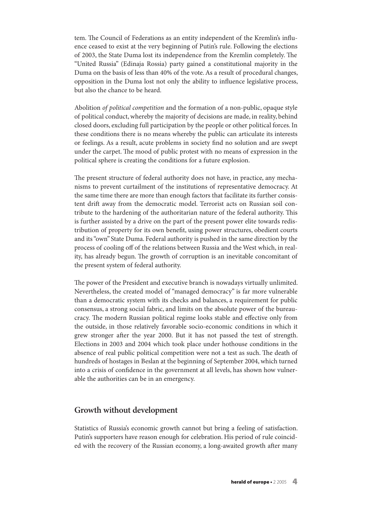tem. The Council of Federations as an entity independent of the Kremlin's influence ceased to exist at the very beginning of Putin's rule. Following the elections of 2003, the State Duma lost its independence from the Kremlin completely. The "United Russia" (Edinaja Rossia) party gained a constitutional majority in the Duma on the basis of less than 40% of the vote.As a result of procedural changes, opposition in the Duma lost not only the ability to influence legislative process, but also the chance to be heard.

Abolition of political competition and the formation of a non-public, opaque style of political conduct,whereby the majority of decisions are made, in reality, behind closed doors, excluding full participation by the people or other political forces.In these conditions there is no means whereby the public can articulate its interests or feelings. As a result, acute problems in society find no solution and are swept under the carpet. The mood of public protest with no means of expression in the political sphere is creating the conditions for a future explosion.

The present structure of federal authority does not have, in practice, any mechanisms to prevent curtailment of the institutions of representative democracy. At the same time there are more than enough factors that facilitate its further consistent drift away from the democratic model. Terrorist acts on Russian soil contribute to the hardening of the authoritarian nature of the federal authority. This is further assisted by a drive on the part of the present power elite towards redistribution of property for its own benefit, using power structures, obedient courts and its"own" State Duma. Federal authority is pushed in the same direction by the process of cooling off of the relations between Russia and the West which, in reality, has already begun. The growth of corruption is an inevitable concomitant of the present system of federal authority.

The power of the President and executive branch is nowadays virtually unlimited. Nevertheless, the created model of "managed democracy" is far more vulnerable than a democratic system with its checks and balances, a requirement for public consensus, a strong social fabric, and limits on the absolute power of the bureaucracy. The modern Russian political regime looks stable and effective only from the outside, in those relatively favorable socio-economic conditions in which it grew stronger after the year 2000. But it has not passed the test of strength. Elections in 2003 and 2004 which took place under hothouse conditions in the absence of real public political competition were not a test as such. The death of hundreds of hostages in Beslan at the beginning of September 2004, which turned into a crisis of confidence in the government at all levels, has shown how vulnerable the authorities can be in an emergency.

#### **Growth without development**

Statistics of Russia's economic growth cannot but bring a feeling of satisfaction. Putin's supporters have reason enough for celebration. His period of rule coincided with the recovery of the Russian economy, a long-awaited growth after many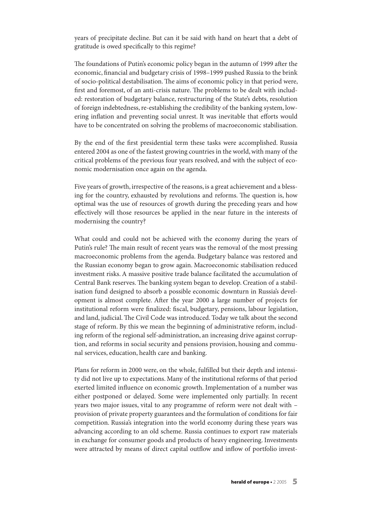years of precipitate decline. But can it be said with hand on heart that a debt of gratitude is owed specifically to this regime?

The foundations of Putin's economic policy began in the autumn of 1999 after the economic, financial and budgetary crisis of 1998–1999 pushed Russia to the brink of socio-political destabilisation. The aims of economic policy in that period were, first and foremost, of an anti-crisis nature. The problems to be dealt with included: restoration of budgetary balance, restructuring of the State's debts, resolution of foreign indebtedness, re-establishing the credibility of the banking system, lowering inflation and preventing social unrest. It was inevitable that efforts would have to be concentrated on solving the problems of macroeconomic stabilisation.

By the end of the first presidential term these tasks were accomplished. Russia entered 2004 as one of the fastest growing countries in the world, with many of the critical problems of the previous four years resolved, and with the subject of economic modernisation once again on the agenda.

Five years of growth, irrespective of the reasons, is a great achievement and a blessing for the country, exhausted by revolutions and reforms. The question is, how optimal was the use of resources of growth during the preceding years and how effectively will those resources be applied in the near future in the interests of modernising the country?

What could and could not be achieved with the economy during the years of Putin's rule? The main result of recent years was the removal of the most pressing macroeconomic problems from the agenda. Budgetary balance was restored and the Russian economy began to grow again. Macroeconomic stabilisation reduced investment risks.A massive positive trade balance facilitated the accumulation of Central Bank reserves. The banking system began to develop. Creation of a stabilisation fund designed to absorb a possible economic downturn in Russia's development is almost complete. After the year 2000 a large number of projects for institutional reform were finalized: fiscal, budgetary, pensions, labour legislation, and land, judicial. The Civil Code was introduced. Today we talk about the second stage of reform. By this we mean the beginning of administrative reform, including reform of the regional self-administration, an increasing drive against corruption, and reforms in social security and pensions provision, housing and communal services, education, health care and banking.

Plans for reform in 2000 were, on the whole, fulfilled but their depth and intensity did not live up to expectations. Many of the institutional reforms of that period exerted limited influence on economic growth. Implementation of a number was either postponed or delayed. Some were implemented only partially. In recent years two major issues, vital to any programme of reform were not dealt with – provision of private property guarantees and the formulation of conditions for fair competition. Russia's integration into the world economy during these years was advancing according to an old scheme. Russia continues to export raw materials in exchange for consumer goods and products of heavy engineering. Investments were attracted by means of direct capital outflow and inflow of portfolio invest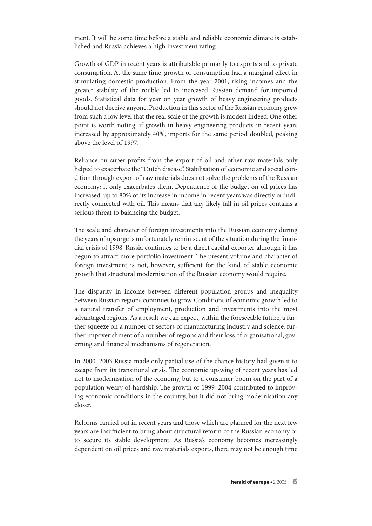ment. It will be some time before a stable and reliable economic climate is established and Russia achieves a high investment rating.

Growth of GDP in recent years is attributable primarily to exports and to private consumption. At the same time, growth of consumption had a marginal effect in stimulating domestic production. From the year 2001, rising incomes and the greater stability of the rouble led to increased Russian demand for imported goods. Statistical data for year on year growth of heavy engineering products should not deceive anyone. Production in this sector of the Russian economy grew from such a low level that the real scale of the growth is modest indeed. One other point is worth noting: if growth in heavy engineering products in recent years increased by approximately 40%, imports for the same period doubled, peaking above the level of 1997.

Reliance on super-profits from the export of oil and other raw materials only helped to exacerbate the "Dutch disease". Stabilisation of economic and social condition through export of raw materials does not solve the problems of the Russian economy; it only exacerbates them. Dependence of the budget on oil prices has increased: up to 80% of its increase in income in recent years was directly or indirectly connected with oil. This means that any likely fall in oil prices contains a serious threat to balancing the budget.

The scale and character of foreign investments into the Russian economy during the years of upsurge is unfortunately reminiscent of the situation during the financial crisis of 1998. Russia continues to be a direct capital exporter although it has begun to attract more portfolio investment. The present volume and character of foreign investment is not, however, sufficient for the kind of stable economic growth that structural modernisation of the Russian economy would require.

The disparity in income between different population groups and inequality between Russian regions continues to grow.Conditions of economic growth led to a natural transfer of employment, production and investments into the most advantaged regions.As a result we can expect, within the foreseeable future, a further squeeze on a number of sectors of manufacturing industry and science, further impoverishment of a number of regions and their loss of organisational, governing and financial mechanisms of regeneration.

In 2000–2003 Russia made only partial use of the chance history had given it to escape from its transitional crisis. The economic upswing of recent years has led not to modernisation of the economy, but to a consumer boom on the part of a population weary of hardship. The growth of 1999–2004 contributed to improving economic conditions in the country, but it did not bring modernisation any closer.

Reforms carried out in recent years and those which are planned for the next few years are insufficient to bring about structural reform of the Russian economy or to secure its stable development. As Russia's economy becomes increasingly dependent on oil prices and raw materials exports, there may not be enough time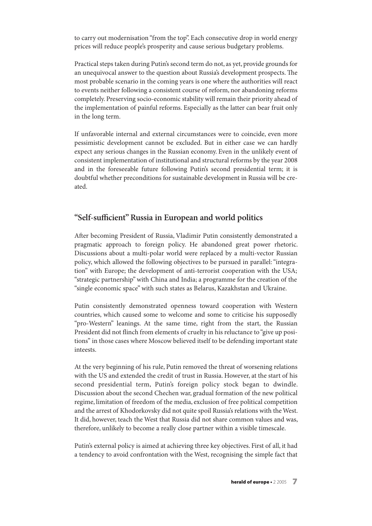to carry out modernisation "from the top". Each consecutive drop in world energy prices will reduce people's prosperity and cause serious budgetary problems.

Practical steps taken during Putin's second term do not, as yet, provide grounds for an unequivocal answer to the question about Russia's development prospects. The most probable scenario in the coming years is one where the authorities will react to events neither following a consistent course of reform, nor abandoning reforms completely. Preserving socio-economic stability will remain their priority ahead of the implementation of painful reforms. Especially as the latter can bear fruit only in the long term.

If unfavorable internal and external circumstances were to coincide, even more pessimistic development cannot be excluded. But in either case we can hardly expect any serious changes in the Russian economy. Even in the unlikely event of consistent implementation of institutional and structural reforms by the year 2008 and in the foreseeable future following Putin's second presidential term; it is doubtful whether preconditions for sustainable development in Russia will be created.

## **"Self-sufficient"Russia in European and world politics**

After becoming President of Russia, Vladimir Putin consistently demonstrated a pragmatic approach to foreign policy. He abandoned great power rhetoric. Discussions about a multi-polar world were replaced by a multi-vector Russian policy, which allowed the following objectives to be pursued in parallel:"integration" with Europe; the development of anti-terrorist cooperation with the USA; "strategic partnership"with China and India; a programme for the creation of the "single economic space" with such states as Belarus, Kazakhstan and Ukraine.

Putin consistently demonstrated openness toward cooperation with Western countries, which caused some to welcome and some to criticise his supposedly "pro-Western" leanings. At the same time, right from the start, the Russian President did not flinch from elements of cruelty in his reluctance to "give up positions" in those cases where Moscow believed itself to be defending important state inteests.

At the very beginning of his rule, Putin removed the threat of worsening relations with the US and extended the credit of trust in Russia. However, at the start of his second presidential term, Putin's foreign policy stock began to dwindle. Discussion about the second Chechen war, gradual formation of the new political regime, limitation of freedom of the media, exclusion of free political competition and the arrest of Khodorkovsky did not quite spoil Russia's relations with the West. It did, however, teach the West that Russia did not share common values and was, therefore, unlikely to become a really close partner within a visible timescale.

Putin's external policy is aimed at achieving three key objectives. First of all, it had a tendency to avoid confrontation with the West, recognising the simple fact that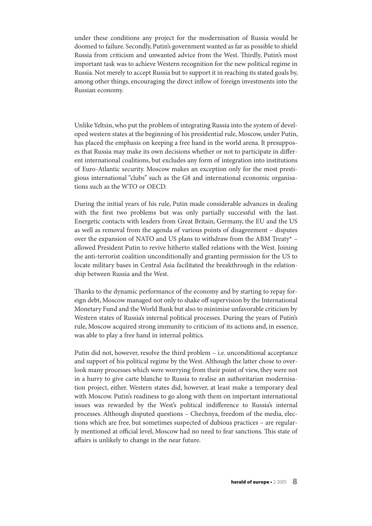under these conditions any project for the modernisation of Russia would be doomed to failure. Secondly, Putin's government wanted as far as possible to shield Russia from criticism and unwanted advice from the West. Thirdly, Putin's most important task was to achieve Western recognition for the new political regime in Russia. Not merely to accept Russia but to support it in reaching its stated goals by, among other things, encouraging the direct inflow of foreign investments into the Russian economy.

Unlike Yeltsin, who put the problem of integrating Russia into the system of developed western states at the beginning of his presidential rule, Moscow, under Putin, has placed the emphasis on keeping a free hand in the world arena. It presupposes that Russia may make its own decisions whether or not to participate in different international coalitions, but excludes any form of integration into institutions of Euro-Atlantic security. Moscow makes an exception only for the most prestigious international "clubs" such as the G8 and international economic organisations such as the WTO or OECD.

During the initial years of his rule, Putin made considerable advances in dealing with the first two problems but was only partially successful with the last. Energetic contacts with leaders from Great Britain, Germany, the EU and the US as well as removal from the agenda of various points of disagreement – disputes over the expansion of NATO and US plans to withdraw from the ABM Treaty\* – allowed President Putin to revive hitherto stalled relations with the West. Joining the anti-terrorist coalition unconditionally and granting permission for the US to locate military bases in Central Asia facilitated the breakthrough in the relationship between Russia and the West.

Thanks to the dynamic performance of the economy and by starting to repay foreign debt, Moscow managed not only to shake off supervision by the International Monetary Fund and theWorld Bank but also to minimise unfavorable criticism by Western states of Russia's internal political processes. During the years of Putin's rule, Moscow acquired strong immunity to criticism of its actions and, in essence, was able to play a free hand in internal politics.

Putin did not, however, resolve the third problem – i.e. unconditional acceptance and support of his political regime by the West.Although the latter chose to overlook many processes which were worrying from their point of view, they were not in a hurry to give carte blanche to Russia to realise an authoritarian modernisation project, either. Western states did, however, at least make a temporary deal with Moscow. Putin's readiness to go along with them on important international issues was rewarded by the West's political indifference to Russia's internal processes. Although disputed questions – Chechnya, freedom of the media, elections which are free, but sometimes suspected of dubious practices – are regularly mentioned at official level, Moscow had no need to fear sanctions. This state of affairs is unlikely to change in the near future.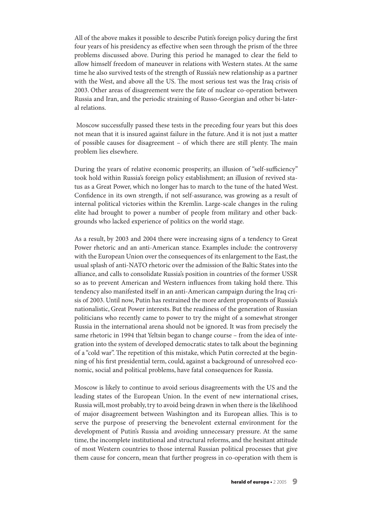All of the above makes it possible to describe Putin's foreign policy during the first four years of his presidency as effective when seen through the prism of the three problems discussed above. During this period he managed to clear the field to allow himself freedom of maneuver in relations with Western states. At the same time he also survived tests of the strength of Russia's new relationship as a partner with the West, and above all the US. The most serious test was the Iraq crisis of 2003. Other areas of disagreement were the fate of nuclear co-operation between Russia and Iran, and the periodic straining of Russo-Georgian and other bi-lateral relations.

Moscow successfully passed these tests in the preceding four years but this does not mean that it is insured against failure in the future.And it is not just a matter of possible causes for disagreement  $-$  of which there are still plenty. The main problem lies elsewhere.

During the years of relative economic prosperity, an illusion of "self-sufficiency" took hold within Russia's foreign policy establishment; an illusion of revived status as a Great Power, which no longer has to march to the tune of the hated West. Confidence in its own strength, if not self-assurance, was growing as a result of internal political victories within the Kremlin. Large-scale changes in the ruling elite had brought to power a number of people from military and other backgrounds who lacked experience of politics on the world stage.

As a result, by 2003 and 2004 there were increasing signs of a tendency to Great Power rhetoric and an anti-American stance. Examples include: the controversy with the European Union over the consequences of its enlargement to the East, the usual splash of anti-NATO rhetoric over the admission of the Baltic States into the alliance, and calls to consolidate Russia's position in countries of the former USSR so as to prevent American and Western influences from taking hold there. This tendency also manifested itself in an anti-American campaign during the Iraq crisis of 2003. Until now, Putin has restrained the more ardent proponents of Russia's nationalistic, Great Power interests. But the readiness of the generation of Russian politicians who recently came to power to try the might of a somewhat stronger Russia in the international arena should not be ignored. It was from precisely the same rhetoric in 1994 that Yeltsin began to change course – from the idea of integration into the system of developed democratic states to talk about the beginning of a "cold war". The repetition of this mistake, which Putin corrected at the beginning of his first presidential term, could, against a background of unresolved economic, social and political problems, have fatal consequences for Russia.

Moscow is likely to continue to avoid serious disagreements with the US and the leading states of the European Union. In the event of new international crises, Russia will, most probably, try to avoid being drawn in when there is the likelihood of major disagreement between Washington and its European allies. This is to serve the purpose of preserving the benevolent external environment for the development of Putin's Russia and avoiding unnecessary pressure. At the same time, the incomplete institutional and structural reforms, and the hesitant attitude of most Western countries to those internal Russian political processes that give them cause for concern, mean that further progress in co-operation with them is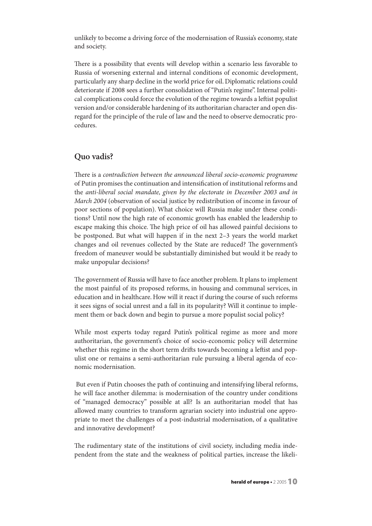unlikely to become a driving force of the modernisation of Russia's economy, state and society.

There is a possibility that events will develop within a scenario less favorable to Russia of worsening external and internal conditions of economic development, particularly any sharp decline in the world price for oil. Diplomatic relations could deteriorate if 2008 sees a further consolidation of "Putin's regime". Internal political complications could force the evolution of the regime towards a leftist populist version and/or considerable hardening of its authoritarian character and open disregard for the principle of the rule of law and the need to observe democratic procedures.

## **Quo vadis?**

There is a contradiction between the announced liberal socio-economic programme of Putin promises the continuation and intensification of institutional reforms and the anti-liberal social mandate, given by the electorate in December 2003 and in March 2004 (observation of social justice by redistribution of income in favour of poor sections of population). What choice will Russia make under these conditions? Until now the high rate of economic growth has enabled the leadership to escape making this choice. The high price of oil has allowed painful decisions to be postponed. But what will happen if in the next 2–3 years the world market changes and oil revenues collected by the State are reduced? The government's freedom of maneuver would be substantially diminished but would it be ready to make unpopular decisions?

The government of Russia will have to face another problem. It plans to implement the most painful of its proposed reforms, in housing and communal services, in education and in healthcare. How will it react if during the course of such reforms it sees signs of social unrest and a fall in its popularity? Will it continue to implement them or back down and begin to pursue a more populist social policy?

While most experts today regard Putin's political regime as more and more authoritarian, the government's choice of socio-economic policy will determine whether this regime in the short term drifts towards becoming a leftist and populist one or remains a semi-authoritarian rule pursuing a liberal agenda of economic modernisation.

But even if Putin chooses the path of continuing and intensifying liberal reforms, he will face another dilemma: is modernisation of the country under conditions of "managed democracy" possible at all? Is an authoritarian model that has allowed many countries to transform agrarian society into industrial one appropriate to meet the challenges of a post-industrial modernisation, of a qualitative and innovative development?

The rudimentary state of the institutions of civil society, including media independent from the state and the weakness of political parties, increase the likeli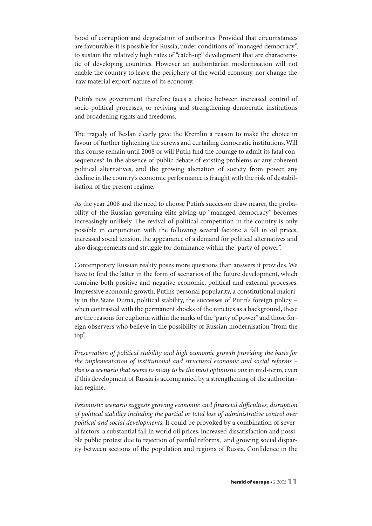hood of corruption and degradation of authorities. Provided that circumstances are favourable, it is possible for Russia, under conditions of"managed democracy", to sustain the relatively high rates of "catch-up" development that are characteristic of developing countries. However an authoritarian modernisation will not enable the country to leave the periphery of the world economy, nor change the 'raw material export' nature of its economy.

Putin's new government therefore faces a choice between increased control of socio-political processes, or reviving and strengthening democratic institutions and broadening rights and freedoms.

The tragedy of Beslan clearly gave the Kremlin a reason to make the choice in favour of further tightening the screws and curtailing democratic institutions.Will this course remain until 2008 or will Putin find the courage to admit its fatal consequences? In the absence of public debate of existing problems or any coherent political alternatives, and the growing alienation of society from power, any decline in the country's economic performance is fraught with the risk of destabilisation of the present regime.

As the year 2008 and the need to choose Putin's successor draw nearer, the probability of the Russian governing elite giving up "managed democracy" becomes increasingly unlikely. The revival of political competition in the country is only possible in conjunction with the following several factors: a fall in oil prices, increased social tension, the appearance of a demand for political alternatives and also disagreements and struggle for dominance within the "party of power".

Contemporary Russian reality poses more questions than answers it provides.We have to find the latter in the form of scenarios of the future development, which combine both positive and negative economic, political and external processes. Impressive economic growth, Putin's personal popularity, a constitutional majority in the State Duma, political stability, the successes of Putin's foreign policy – when contrasted with the permanent shocks of the nineties as a background, these are the reasons for euphoria within the ranks of the "party of power" and those foreign observers who believe in the possibility of Russian modernisation "from the top".

Preservation of political stability and high economic growth providing the basis for the implementation of institutional and structural economic and social reforms – this is a scenario that seems to many to be the most optimistic one in mid-term, even if this development of Russia is accompanied by a strengthening of the authoritarian regime.

Pessimistic scenario suggests growing economic and financial difficulties, disruption of political stability including the partial or total loss of administrative control over political and social developments. It could be provoked by a combination of several factors: a substantial fall in world oil prices, increased dissatisfaction and possible public protest due to rejection of painful reforms, and growing social disparity between sections of the population and regions of Russia. Confidence in the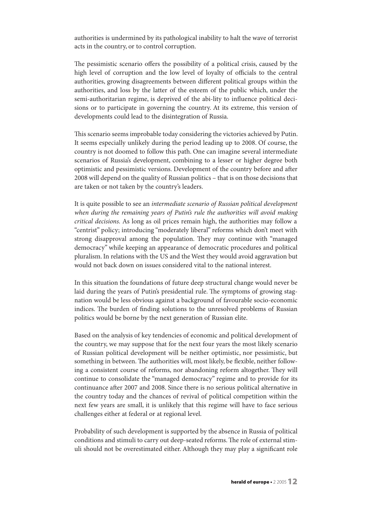authorities is undermined by its pathological inability to halt the wave of terrorist acts in the country, or to control corruption.

The pessimistic scenario offers the possibility of a political crisis, caused by the high level of corruption and the low level of loyalty of officials to the central authorities, growing disagreements between different political groups within the authorities, and loss by the latter of the esteem of the public which, under the semi-authoritarian regime, is deprived of the abi-lity to influence political decisions or to participate in governing the country. At its extreme, this version of developments could lead to the disintegration of Russia.

This scenario seems improbable today considering the victories achieved by Putin. It seems especially unlikely during the period leading up to 2008. Of course, the country is not doomed to follow this path. One can imagine several intermediate scenarios of Russia's development, combining to a lesser or higher degree both optimistic and pessimistic versions. Development of the country before and after 2008 will depend on the quality of Russian politics – that is on those decisions that are taken or not taken by the country's leaders.

It is quite possible to see an intermediate scenario of Russian political development when during the remaining years of Putin's rule the authorities will avoid making critical decisions. As long as oil prices remain high, the authorities may follow a "centrist" policy; introducing "moderately liberal" reforms which don't meet with strong disapproval among the population. They may continue with "managed democracy" while keeping an appearance of democratic procedures and political pluralism.In relations with the US and the West they would avoid aggravation but would not back down on issues considered vital to the national interest.

In this situation the foundations of future deep structural change would never be laid during the years of Putin's presidential rule. The symptoms of growing stagnation would be less obvious against a background of favourable socio-economic indices. The burden of finding solutions to the unresolved problems of Russian politics would be borne by the next generation of Russian elite.

Based on the analysis of key tendencies of economic and political development of the country, we may suppose that for the next four years the most likely scenario of Russian political development will be neither optimistic, nor pessimistic, but something in between. The authorities will, most likely, be flexible, neither following a consistent course of reforms, nor abandoning reform altogether. They will continue to consolidate the "managed democracy" regime and to provide for its continuance after 2007 and 2008. Since there is no serious political alternative in the country today and the chances of revival of political competition within the next few years are small, it is unlikely that this regime will have to face serious challenges either at federal or at regional level.

Probability of such development is supported by the absence in Russia of political conditions and stimuli to carry out deep-seated reforms. The role of external stimuli should not be overestimated either. Although they may play a significant role